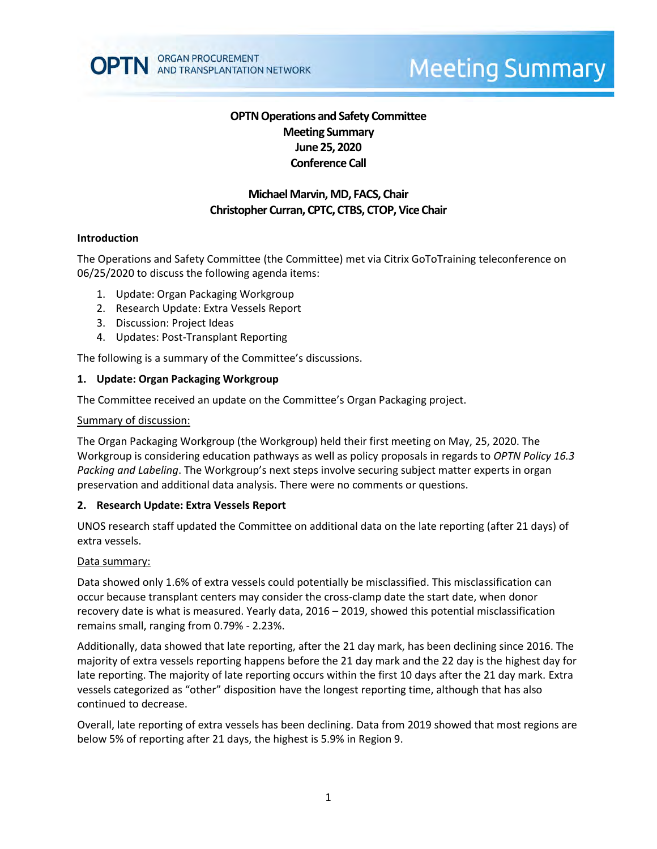

# **OPTN Operations and Safety Committee Meeting Summary June 25, 2020 Conference Call**

# **Michael Marvin, MD, FACS, Chair Christopher Curran, CPTC, CTBS, CTOP, Vice Chair**

### **Introduction**

The Operations and Safety Committee (the Committee) met via Citrix GoToTraining teleconference on 06/25/2020 to discuss the following agenda items:

- 1. Update: Organ Packaging Workgroup
- 2. Research Update: Extra Vessels Report
- 3. Discussion: Project Ideas
- 4. Updates: Post-Transplant Reporting

The following is a summary of the Committee's discussions.

### **1. Update: Organ Packaging Workgroup**

The Committee received an update on the Committee's Organ Packaging project.

#### Summary of discussion:

The Organ Packaging Workgroup (the Workgroup) held their first meeting on May, 25, 2020. The Workgroup is considering education pathways as well as policy proposals in regards to *OPTN Policy 16.3 Packing and Labeling*. The Workgroup's next steps involve securing subject matter experts in organ preservation and additional data analysis. There were no comments or questions.

#### **2. Research Update: Extra Vessels Report**

UNOS research staff updated the Committee on additional data on the late reporting (after 21 days) of extra vessels.

#### Data summary:

Data showed only 1.6% of extra vessels could potentially be misclassified. This misclassification can occur because transplant centers may consider the cross-clamp date the start date, when donor recovery date is what is measured. Yearly data, 2016 – 2019, showed this potential misclassification remains small, ranging from 0.79% - 2.23%.

Additionally, data showed that late reporting, after the 21 day mark, has been declining since 2016. The majority of extra vessels reporting happens before the 21 day mark and the 22 day is the highest day for late reporting. The majority of late reporting occurs within the first 10 days after the 21 day mark. Extra vessels categorized as "other" disposition have the longest reporting time, although that has also continued to decrease.

Overall, late reporting of extra vessels has been declining. Data from 2019 showed that most regions are below 5% of reporting after 21 days, the highest is 5.9% in Region 9.